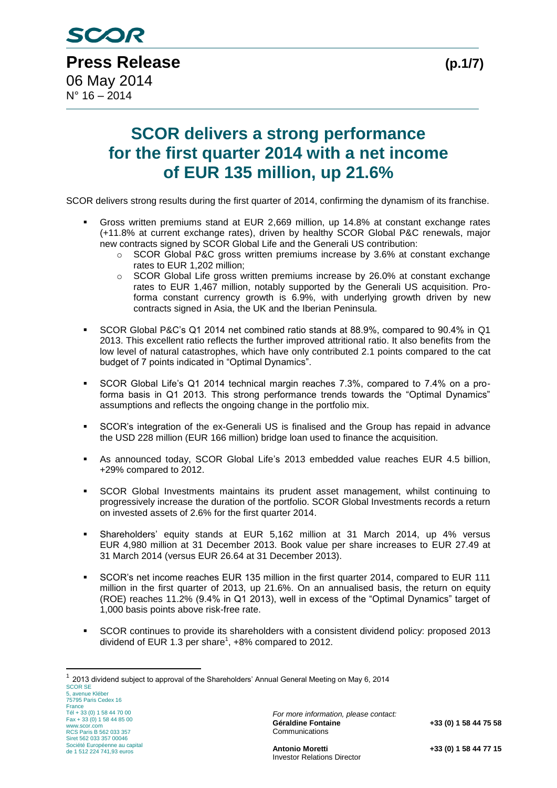# **SCOR delivers a strong performance for the first quarter 2014 with a net income of EUR 135 million, up 21.6%**

SCOR delivers strong results during the first quarter of 2014, confirming the dynamism of its franchise.

- Gross written premiums stand at EUR 2,669 million, up 14.8% at constant exchange rates (+11.8% at current exchange rates), driven by healthy SCOR Global P&C renewals, major new contracts signed by SCOR Global Life and the Generali US contribution:
	- $\circ$  SCOR Global P&C gross written premiums increase by 3.6% at constant exchange rates to EUR 1,202 million;
	- $\circ$  SCOR Global Life gross written premiums increase by 26.0% at constant exchange rates to EUR 1,467 million, notably supported by the Generali US acquisition. Proforma constant currency growth is 6.9%, with underlying growth driven by new contracts signed in Asia, the UK and the Iberian Peninsula.
- SCOR Global P&C's Q1 2014 net combined ratio stands at 88.9%, compared to 90.4% in Q1 2013. This excellent ratio reflects the further improved attritional ratio. It also benefits from the low level of natural catastrophes, which have only contributed 2.1 points compared to the cat budget of 7 points indicated in "Optimal Dynamics".
- SCOR Global Life's Q1 2014 technical margin reaches 7.3%, compared to 7.4% on a proforma basis in Q1 2013. This strong performance trends towards the "Optimal Dynamics" assumptions and reflects the ongoing change in the portfolio mix.
- SCOR's integration of the ex-Generali US is finalised and the Group has repaid in advance the USD 228 million (EUR 166 million) bridge loan used to finance the acquisition.
- As announced today, SCOR Global Life's 2013 embedded value reaches EUR 4.5 billion, +29% compared to 2012.
- SCOR Global Investments maintains its prudent asset management, whilst continuing to progressively increase the duration of the portfolio. SCOR Global Investments records a return on invested assets of 2.6% for the first quarter 2014.
- Shareholders' equity stands at EUR 5,162 million at 31 March 2014, up 4% versus EUR 4,980 million at 31 December 2013. Book value per share increases to EUR 27.49 at 31 March 2014 (versus EUR 26.64 at 31 December 2013).
- SCOR's net income reaches EUR 135 million in the first quarter 2014, compared to EUR 111 million in the first quarter of 2013, up 21.6%. On an annualised basis, the return on equity (ROE) reaches 11.2% (9.4% in Q1 2013), well in excess of the "Optimal Dynamics" target of 1,000 basis points above risk-free rate.
- SCOR continues to provide its shareholders with a consistent dividend policy: proposed 2013 dividend of EUR 1.3 per share<sup>1</sup>,  $+8\%$  compared to 2012.

1

<sup>1</sup> 2013 dividend subject to approval of the Shareholders' Annual General Meeting on May 6, 2014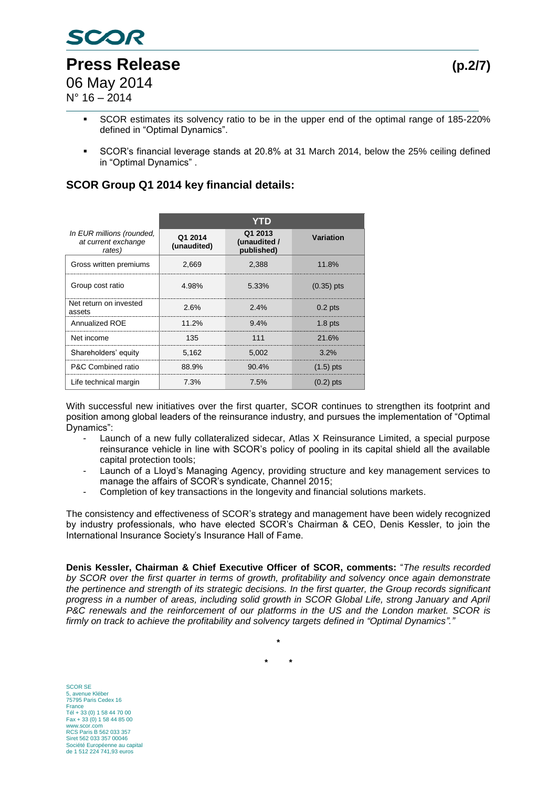

 $N^{\circ}$  16 – 2014

- SCOR estimates its solvency ratio to be in the upper end of the optimal range of 185-220% defined in "Optimal Dynamics".
- SCOR's financial leverage stands at 20.8% at 31 March 2014, below the 25% ceiling defined in "Optimal Dynamics" .

## **SCOR Group Q1 2014 key financial details:**

|                                                            | YTD                    |                                       |                  |
|------------------------------------------------------------|------------------------|---------------------------------------|------------------|
| In EUR millions (rounded,<br>at current exchange<br>rates) | Q1 2014<br>(unaudited) | Q1 2013<br>(unaudited /<br>published) | <b>Variation</b> |
| Gross written premiums                                     | 2,669                  | 2,388                                 | 11.8%            |
| Group cost ratio                                           | 4.98%                  | 5.33%                                 | $(0.35)$ pts     |
| Net return on invested<br>assets                           | 2.6%                   | $2.4\%$                               | $0.2$ pts        |
| Annualized ROE                                             | 11.2%                  | $9.4\%$                               | $1.8$ pts        |
| Net income                                                 | 135                    | 111                                   | 21.6%            |
| Shareholders' equity                                       | 5.162                  | 5.002                                 | $3.2\%$          |
| P&C Combined ratio                                         | 88.9%                  | $90.4\%$                              | $(1.5)$ pts      |
| Life technical margin                                      | 7.3%                   | 7.5%                                  | $(0.2)$ pts      |

With successful new initiatives over the first quarter. SCOR continues to strengthen its footprint and position among global leaders of the reinsurance industry, and pursues the implementation of "Optimal Dynamics":

- Launch of a new fully collateralized sidecar, Atlas X Reinsurance Limited, a special purpose reinsurance vehicle in line with SCOR's policy of pooling in its capital shield all the available capital protection tools;
- Launch of a Lloyd's Managing Agency, providing structure and key management services to manage the affairs of SCOR's syndicate, Channel 2015;
- Completion of key transactions in the longevity and financial solutions markets.

The consistency and effectiveness of SCOR's strategy and management have been widely recognized by industry professionals, who have elected SCOR's Chairman & CEO, Denis Kessler, to join the International Insurance Society's Insurance Hall of Fame.

**Denis Kessler, Chairman & Chief Executive Officer of SCOR, comments:** "*The results recorded by SCOR over the first quarter in terms of growth, profitability and solvency once again demonstrate the pertinence and strength of its strategic decisions. In the first quarter, the Group records significant progress in a number of areas, including solid growth in SCOR Global Life, strong January and April P&C renewals and the reinforcement of our platforms in the US and the London market. SCOR is firmly on track to achieve the profitability and solvency targets defined in "Optimal Dynamics"."*

**\***

**\* \***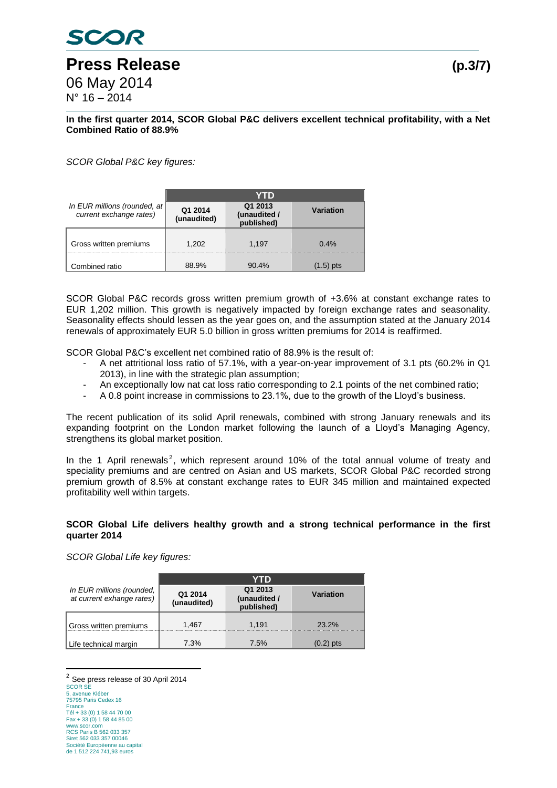#### **In the first quarter 2014, SCOR Global P&C delivers excellent technical profitability, with a Net Combined Ratio of 88.9%**

*SCOR Global P&C key figures:*

|                                                             | YTD                    |                                       |           |
|-------------------------------------------------------------|------------------------|---------------------------------------|-----------|
| In EUR millions (rounded, at $ $<br>current exchange rates) | Q1 2014<br>(unaudited) | Q1 2013<br>(unaudited /<br>published) | Variation |
| Gross written premiums                                      | 1.202                  | 1,197                                 | 0.4%      |
| Combined ratio                                              | 88.9%                  | $90.4\%$                              | (1.5) pts |

SCOR Global P&C records gross written premium growth of +3.6% at constant exchange rates to EUR 1,202 million. This growth is negatively impacted by foreign exchange rates and seasonality. Seasonality effects should lessen as the year goes on, and the assumption stated at the January 2014 renewals of approximately EUR 5.0 billion in gross written premiums for 2014 is reaffirmed.

SCOR Global P&C's excellent net combined ratio of 88.9% is the result of:

- A net attritional loss ratio of 57.1%, with a year-on-year improvement of 3.1 pts (60.2% in Q1 2013), in line with the strategic plan assumption;
- An exceptionally low nat cat loss ratio corresponding to 2.1 points of the net combined ratio;
- A 0.8 point increase in commissions to 23.1%, due to the growth of the Lloyd's business.

The recent publication of its solid April renewals, combined with strong January renewals and its expanding footprint on the London market following the launch of a Lloyd's Managing Agency, strengthens its global market position.

In the 1 April renewals<sup>2</sup>, which represent around 10% of the total annual volume of treaty and speciality premiums and are centred on Asian and US markets, SCOR Global P&C recorded strong premium growth of 8.5% at constant exchange rates to EUR 345 million and maintained expected profitability well within targets.

#### **SCOR Global Life delivers healthy growth and a strong technical performance in the first quarter 2014**

*SCOR Global Life key figures:* 

|                                                        | YTD                    |                                       |             |
|--------------------------------------------------------|------------------------|---------------------------------------|-------------|
| In EUR millions (rounded,<br>at current exhange rates) | Q1 2014<br>(unaudited) | Q1 2013<br>(unaudited /<br>published) | Variation   |
| Gross written premiums                                 | 1,467                  | 1,191                                 | $23.2\%$    |
| Life technical margin                                  | 7.3%                   | 7.5%                                  | $(0.2)$ pts |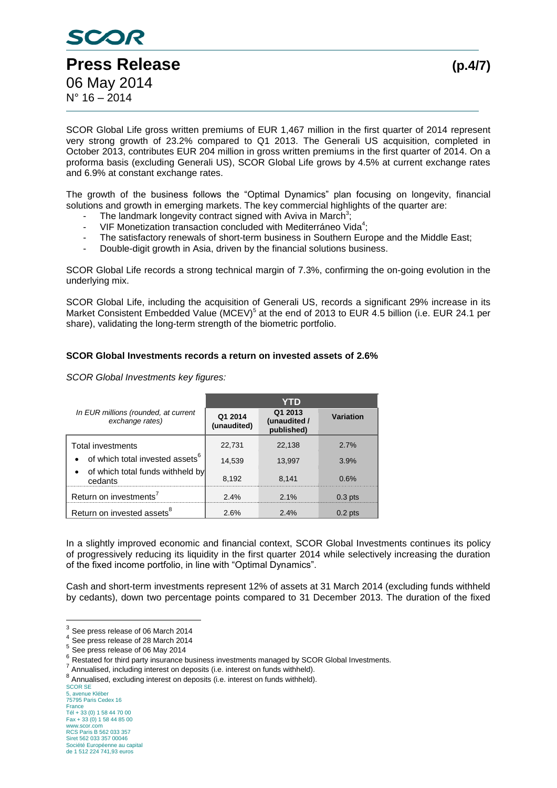

SCOR Global Life gross written premiums of EUR 1,467 million in the first quarter of 2014 represent very strong growth of 23.2% compared to Q1 2013. The Generali US acquisition, completed in October 2013, contributes EUR 204 million in gross written premiums in the first quarter of 2014. On a proforma basis (excluding Generali US), SCOR Global Life grows by 4.5% at current exchange rates and 6.9% at constant exchange rates.

The growth of the business follows the "Optimal Dynamics" plan focusing on longevity, financial solutions and growth in emerging markets. The key commercial highlights of the quarter are:

- The landmark longevity contract signed with Aviva in March<sup>3</sup>;
- VIF Monetization transaction concluded with Mediterráneo Vida<sup>4</sup>;
- The satisfactory renewals of short-term business in Southern Europe and the Middle East;
- Double-digit growth in Asia, driven by the financial solutions business.

SCOR Global Life records a strong technical margin of 7.3%, confirming the on-going evolution in the underlying mix.

SCOR Global Life, including the acquisition of Generali US, records a significant 29% increase in its Market Consistent Embedded Value (MCEV)<sup>5</sup> at the end of 2013 to EUR 4.5 billion (i.e. EUR 24.1 per share), validating the long-term strength of the biometric portfolio.

### **SCOR Global Investments records a return on invested assets of 2.6%**

*SCOR Global Investments key figures:*

|                                                         | YTD                    |                                       |           |  |
|---------------------------------------------------------|------------------------|---------------------------------------|-----------|--|
| In EUR millions (rounded, at current<br>exchange rates) | Q1 2014<br>(unaudited) | Q1 2013<br>(unaudited /<br>published) | Variation |  |
| <b>Total investments</b>                                | 22,731                 | 22.138                                | 2.7%      |  |
| • of which total invested assets <sup>6</sup>           | 14,539                 | 13.997                                | 3.9%      |  |
| • of which total funds withheld by<br>cedants           | 8,192                  | 8.141                                 | 0.6%      |  |
| Return on investments <sup>7</sup>                      | 2.4%                   | $2.1\%$                               | $0.3$ pts |  |
| Return on invested assets <sup>8</sup>                  | 2.6%                   | $2.4\%$                               | $0.2$ pts |  |

In a slightly improved economic and financial context, SCOR Global Investments continues its policy of progressively reducing its liquidity in the first quarter 2014 while selectively increasing the duration of the fixed income portfolio, in line with "Optimal Dynamics".

Cash and short-term investments represent 12% of assets at 31 March 2014 (excluding funds withheld by cedants), down two percentage points compared to 31 December 2013. The duration of the fixed

 3 See press release of 06 March 2014

<sup>&</sup>lt;sup>4</sup> See press release of 28 March 2014

<sup>&</sup>lt;sup>5</sup> See press release of 06 May 2014

 $<sup>6</sup>$  Restated for third party insurance business investments managed by SCOR Global Investments.</sup>

<sup>&</sup>lt;sup>7</sup> Annualised, including interest on deposits (i.e. interest on funds withheld).

<sup>8</sup> Annualised, excluding interest on deposits (i.e. interest on funds withheld).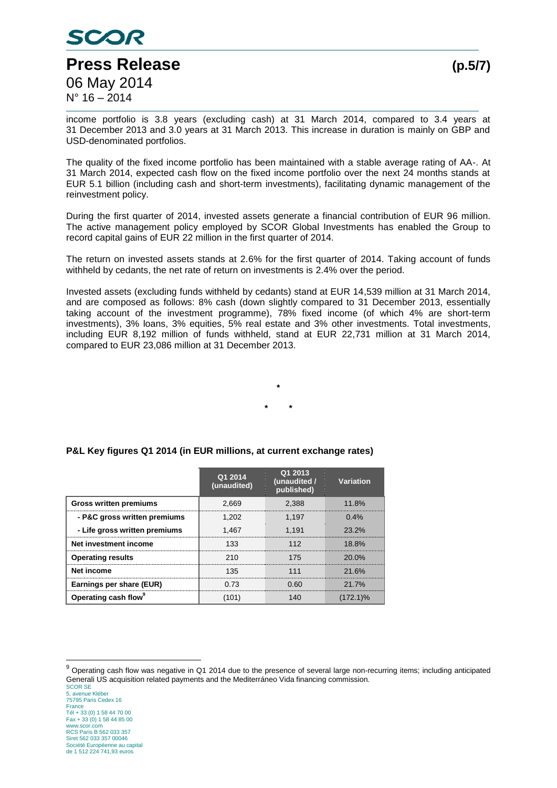

income portfolio is 3.8 years (excluding cash) at 31 March 2014, compared to 3.4 years at 31 December 2013 and 3.0 years at 31 March 2013. This increase in duration is mainly on GBP and USD-denominated portfolios.

The quality of the fixed income portfolio has been maintained with a stable average rating of AA-. At 31 March 2014, expected cash flow on the fixed income portfolio over the next 24 months stands at EUR 5.1 billion (including cash and short-term investments), facilitating dynamic management of the reinvestment policy.

During the first quarter of 2014, invested assets generate a financial contribution of EUR 96 million. The active management policy employed by SCOR Global Investments has enabled the Group to record capital gains of EUR 22 million in the first quarter of 2014.

The return on invested assets stands at 2.6% for the first quarter of 2014. Taking account of funds withheld by cedants, the net rate of return on investments is 2.4% over the period.

Invested assets (excluding funds withheld by cedants) stand at EUR 14,539 million at 31 March 2014, and are composed as follows: 8% cash (down slightly compared to 31 December 2013, essentially taking account of the investment programme), 78% fixed income (of which 4% are short-term investments), 3% loans, 3% equities, 5% real estate and 3% other investments. Total investments, including EUR 8,192 million of funds withheld, stand at EUR 22,731 million at 31 March 2014, compared to EUR 23,086 million at 31 December 2013.



|                                  | Q1 2014<br>(unaudited) | Q1 2013<br>(unaudited /<br>published) | Variation |
|----------------------------------|------------------------|---------------------------------------|-----------|
| <b>Gross written premiums</b>    | 2.669                  | 2.388                                 | 11.8%     |
| - P&C gross written premiums     | 1.202                  | 1.197                                 | $0.4\%$   |
| - Life gross written premiums    | 1.467                  | 1.191                                 | 23.2%     |
| Net investment income            | 133                    | 112                                   | $18.8\%$  |
| <b>Operating results</b>         | 210                    | 175                                   | 20.0%     |
| Net income                       | 135                    | 111                                   | 21.6%     |
| Earnings per share (EUR)         | 73 73                  | 0.60                                  | 21.7%     |
| Operating cash flow <sup>9</sup> |                        |                                       | (172.1)%  |

#### **P&L Key figures Q1 2014 (in EUR millions, at current exchange rates)**

 $9$  Operating cash flow was negative in Q1 2014 due to the presence of several large non-recurring items; including anticipated Generali US acquisition related payments and the Mediterráneo Vida financing commission.

SCOR SE 5, avenue Kléber 75795 Paris Cedex 16 France Tél + 33 (0) 1 58 44 70 00 Fax + 33 (0) 1 58 44 85 00 www.scor.com RCS Paris B 562 033 357 Siret 562 033 357 00046 Société Européenne au capital de 1 512 224 741,93 euros

<u>.</u>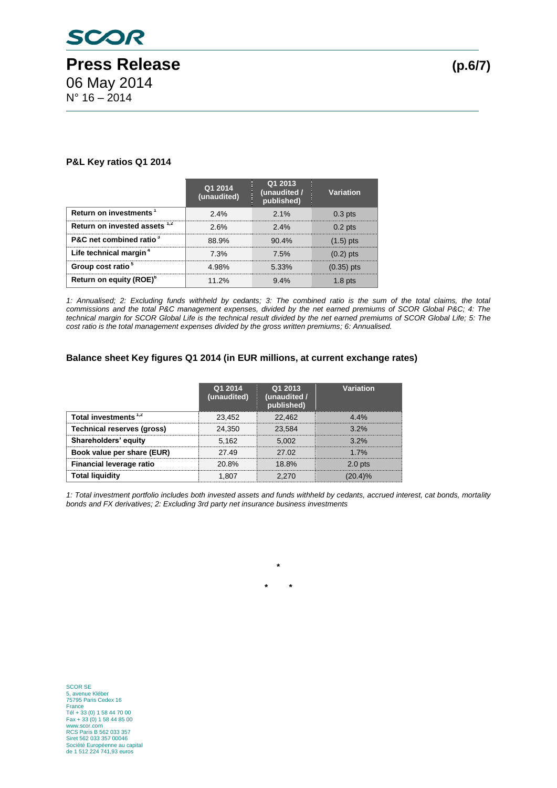#### **P&L Key ratios Q1 2014**

|                                     | Q1 2014<br>(unaudited) | Q1 2013<br>(unaudited /<br>published) | Variation    |
|-------------------------------------|------------------------|---------------------------------------|--------------|
| Return on investments               | 2.4%                   | 2.1%                                  | $0.3$ pts    |
| Return on invested assets 1,2       | 2.6%                   | $2.4\%$                               | $0.2$ pts    |
| P&C net combined ratio <sup>3</sup> | 88.9%                  | $90.4\%$                              | $(1.5)$ pts  |
| Life technical margin <sup>4</sup>  | 7.3%                   | 7.5%                                  | $(0.2)$ pts  |
| Group cost ratio <sup>3</sup>       | 4.98%                  | $5.33\%$                              | $(0.35)$ pts |
| Return on equity (ROE)°             | 11 2%                  | $9.4\%$                               |              |

*1: Annualised; 2: Excluding funds withheld by cedants; 3: The combined ratio is the sum of the total claims, the total commissions and the total P&C management expenses, divided by the net earned premiums of SCOR Global P&C; 4: The*  technical margin for SCOR Global Life is the technical result divided by the net earned premiums of SCOR Global Life; 5: The *cost ratio is the total management expenses divided by the gross written premiums; 6: Annualised.*

#### **Balance sheet Key figures Q1 2014 (in EUR millions, at current exchange rates)**

|                                   | Q1 2014<br>(unaudited) | Q1 2013<br>(unaudited /<br>published) | Variation          |
|-----------------------------------|------------------------|---------------------------------------|--------------------|
| Total investments $1,2$           | 23.452                 | 22.462                                | $4.4\%$            |
| <b>Technical reserves (gross)</b> | 24.350                 | 23.584                                | $3.2\%$            |
| Shareholders' equity              | 5,162                  | 5.002                                 | $3.2\%$            |
| Book value per share (EUR)        | 27.49                  | 27.02                                 | 17%                |
| <b>Financial leverage ratio</b>   | 20.8%                  | 18.8%                                 | 2.0 <sub>pts</sub> |
| Total liquidity                   |                        |                                       |                    |

*1: Total investment portfolio includes both invested assets and funds withheld by cedants, accrued interest, cat bonds, mortality bonds and FX derivatives; 2: Excluding 3rd party net insurance business investments*

**\***

**\* \***